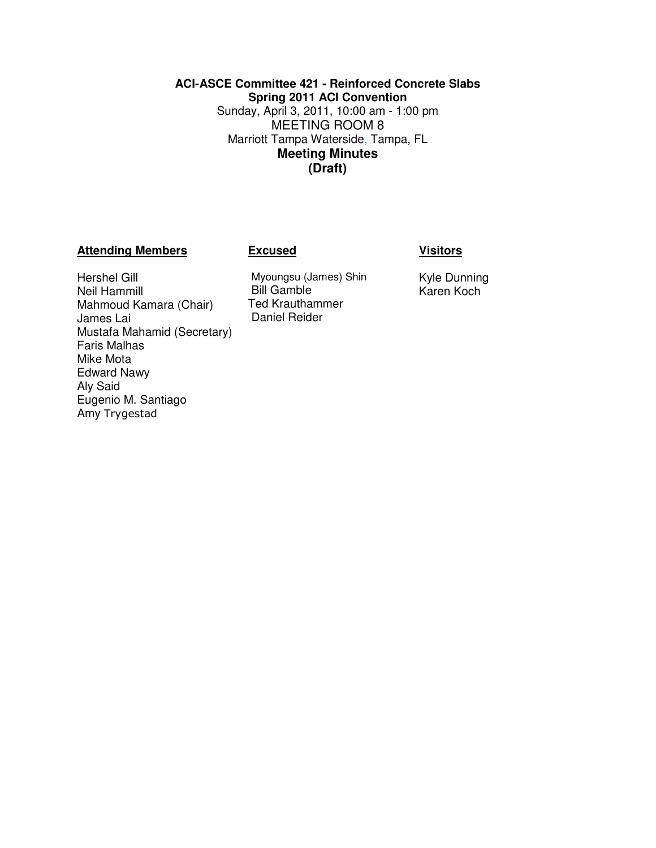## **ACI-ASCE Committee 421 - Reinforced Concrete Slabs Spring 2011 ACI Convention**  Sunday, April 3, 2011, 10:00 am - 1:00 pm MEETING ROOM 8 Marriott Tampa Waterside, Tampa, FL **Meeting Minutes (Draft)**

## **Attending Members Excused Visitors**

## Hershel Gill Neil Hammill Mahmoud Kamara (Chair) James Lai Mustafa Mahamid (Secretary) Faris Malhas Mike Mota Edward Nawy Aly Said Eugenio M. Santiago Amy Trygestad

Myoungsu (James) Shin Bill Gamble Ted Krauthammer Daniel Reider

Kyle Dunning Karen Koch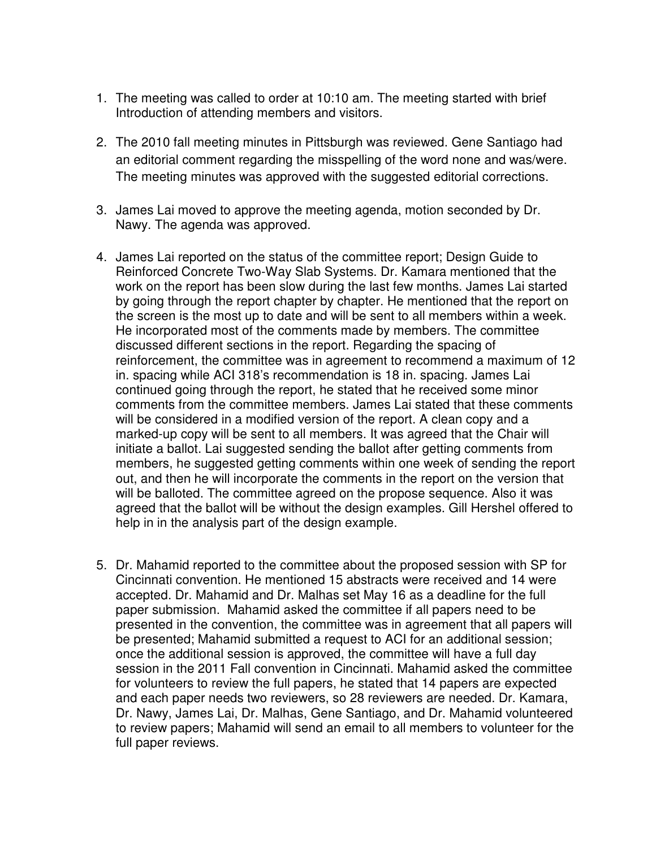- 1. The meeting was called to order at 10:10 am. The meeting started with brief Introduction of attending members and visitors.
- 2. The 2010 fall meeting minutes in Pittsburgh was reviewed. Gene Santiago had an editorial comment regarding the misspelling of the word none and was/were. The meeting minutes was approved with the suggested editorial corrections.
- 3. James Lai moved to approve the meeting agenda, motion seconded by Dr. Nawy. The agenda was approved.
- 4. James Lai reported on the status of the committee report; Design Guide to Reinforced Concrete Two-Way Slab Systems. Dr. Kamara mentioned that the work on the report has been slow during the last few months. James Lai started by going through the report chapter by chapter. He mentioned that the report on the screen is the most up to date and will be sent to all members within a week. He incorporated most of the comments made by members. The committee discussed different sections in the report. Regarding the spacing of reinforcement, the committee was in agreement to recommend a maximum of 12 in. spacing while ACI 318's recommendation is 18 in. spacing. James Lai continued going through the report, he stated that he received some minor comments from the committee members. James Lai stated that these comments will be considered in a modified version of the report. A clean copy and a marked-up copy will be sent to all members. It was agreed that the Chair will initiate a ballot. Lai suggested sending the ballot after getting comments from members, he suggested getting comments within one week of sending the report out, and then he will incorporate the comments in the report on the version that will be balloted. The committee agreed on the propose sequence. Also it was agreed that the ballot will be without the design examples. Gill Hershel offered to help in in the analysis part of the design example.
- 5. Dr. Mahamid reported to the committee about the proposed session with SP for Cincinnati convention. He mentioned 15 abstracts were received and 14 were accepted. Dr. Mahamid and Dr. Malhas set May 16 as a deadline for the full paper submission. Mahamid asked the committee if all papers need to be presented in the convention, the committee was in agreement that all papers will be presented; Mahamid submitted a request to ACI for an additional session; once the additional session is approved, the committee will have a full day session in the 2011 Fall convention in Cincinnati. Mahamid asked the committee for volunteers to review the full papers, he stated that 14 papers are expected and each paper needs two reviewers, so 28 reviewers are needed. Dr. Kamara, Dr. Nawy, James Lai, Dr. Malhas, Gene Santiago, and Dr. Mahamid volunteered to review papers; Mahamid will send an email to all members to volunteer for the full paper reviews.